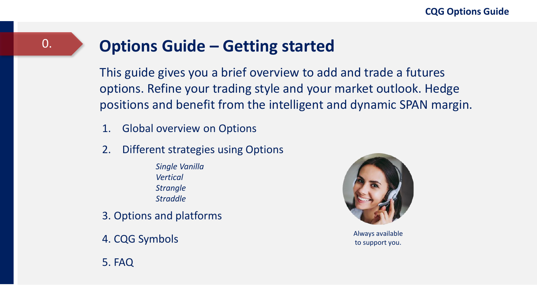### **Options Guide – Getting started**

This guide gives you a brief overview to add and trade a futures options. Refine your trading style and your market outlook. Hedge positions and benefit from the intelligent and dynamic SPAN margin.

- 1. Global overview on Options
- 2. Different strategies using Options

*Single Vanilla Vertical Strangle Straddle*

- 3. Options and platforms
- 4. CQG Symbols

5. FAQ



Always available to support you.

### 0.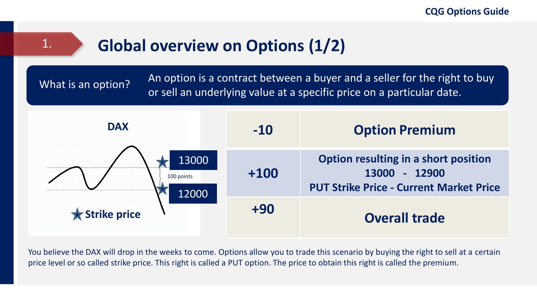## **Global overview on Options (1/2)** 1.

What is an option? An option is a contract between a buyer and a seller for the right to buy or sell an underlying value at a specific price on a particular date.



You believe the DAX will drop in the weeks to come. Options allow you to trade this scenario by buying the right to sell at a certain price level or so called strike price. This right is called a PUT option. The price to obtain this right is called the premium.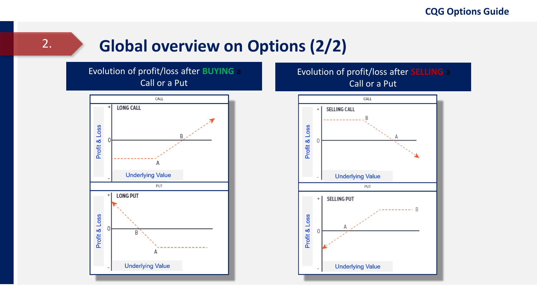## 2. **Global overview on Options (2/2)**

### Evolution of profit/loss after **BUYING** a Call or a Put



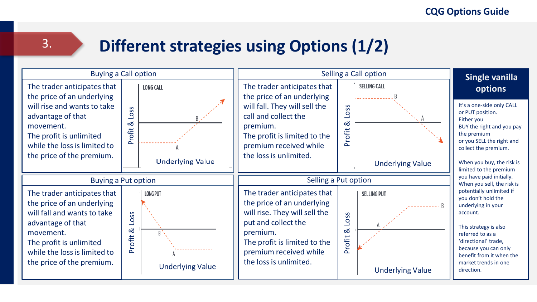### 3. **Different strategies using Options (1/2)**

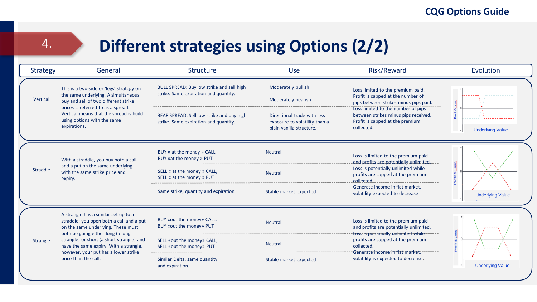### **Different strategies using Options (2/2)**

4.

| <b>Strategy</b> | General                                                                                                                                                     | <b>Structure</b>                                                                   | Use                                                                                      | Risk/Reward                                                                                                                 | Evolution               |
|-----------------|-------------------------------------------------------------------------------------------------------------------------------------------------------------|------------------------------------------------------------------------------------|------------------------------------------------------------------------------------------|-----------------------------------------------------------------------------------------------------------------------------|-------------------------|
| Vertical        | This is a two-side or 'legs' strategy on<br>the same underlying. A simultaneous<br>buy and sell of two different strike                                     | BULL SPREAD: Buy low strike and sell high<br>strike. Same expiration and quantity. | Moderately bullish<br>Moderately bearish                                                 | Loss limited to the premium paid.<br>Profit is capped at the number of<br>pips between strikes minus pips paid.             |                         |
|                 | prices is referred to as a spread.<br>Vertical means that the spread is build<br>using options with the same<br>expirations.                                | BEAR SPREAD: Sell low strike and buy high<br>strike. Same expiration and quantity. | Directional trade with less<br>exposure to volatility than a<br>plain vanilla structure. | Loss limited to the number of pips<br>between strikes minus pips received.<br>Profit is capped at the premium<br>collected. | <b>Underlying Value</b> |
|                 | With a straddle, you buy both a call                                                                                                                        | BUY « at the money » CALL,<br>BUY «at the money » PUT                              | Neutral                                                                                  | Loss is limited to the premium paid<br>and profits are potentially unlimited                                                |                         |
| Straddle        | and a put on the same underlying<br>with the same strike price and<br>expiry.                                                                               | SELL « at the money » CALL,<br>SELL « at the money » PUT                           | Neutral                                                                                  | Loss is potentially unlimited while<br>profits are capped at the premium<br>_collected.______________________________       |                         |
|                 |                                                                                                                                                             | Same strike, quantity and expiration                                               | Stable market expected                                                                   | Generate income in flat market.<br>volatility expected to decrease.                                                         | <b>Underlying Value</b> |
|                 | A strangle has a similar set up to a<br>straddle: you open both a call and a put<br>on the same underlying. These must<br>both be going either long (a long | BUY «out the money» CALL,<br>BUY «out the money» PUT                               | Neutral                                                                                  | Loss is limited to the premium paid<br>and profits are potentially unlimited.<br>Loss-is-potentially-unlimited-while------  |                         |
| Strangle        | strangle) or short (a short strangle) and<br>have the same expiry. With a strangle,<br>however, your put has a lower strike                                 | SELL «out the money» CALL,<br>SELL «out the money» PUT                             | Neutral                                                                                  | profits are capped at the premium<br>collected.<br>Generate income in flat market,                                          |                         |
|                 | price than the call.                                                                                                                                        | Similar Delta, same quantity<br>and expiration.                                    | Stable market expected                                                                   | volatility is expected to decrease.                                                                                         | <b>Underlying Value</b> |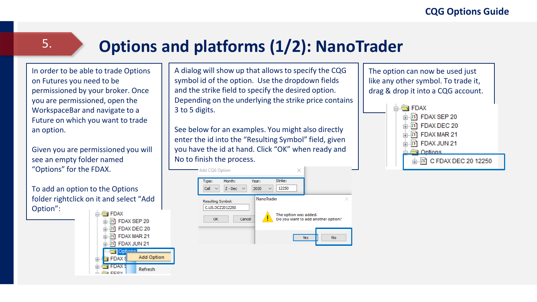## 5. **Options and platforms (1/2): NanoTrader**

In order to be able to trade Options on Futures you need to be permissioned by your broker. Once you are permissioned, open the WorkspaceBar and navigate to a Future on which you want to trade an option.

Given you are permissioned you will see an empty folder named "Options" for the FDAX.

To add an option to the Options folder rightclick on it and select "Add Option":

**ELEN FDAX**  $\overline{111}$  FDAX SEP 20 In FDAX DEC 20 In FDAX MAR 21  $\overline{m}$  FDAX JUN 21 **≅¶** Ool **Add Option E** FDAX S  $\blacksquare$  FDAX Refresh

A dialog will show up that allows to specify the CQG symbol id of the option. Use the dropdown fields and the strike field to specify the desired option. Depending on the underlying the strike price contains 3 to 5 digits.

See below for an examples. You might also directly enter the id into the "Resulting Symbol" field, given you have the id at hand. Click "OK" when ready and No to finish the process.



The option can now be used just like any other symbol. To trade it, drag & drop it into a CQG account.

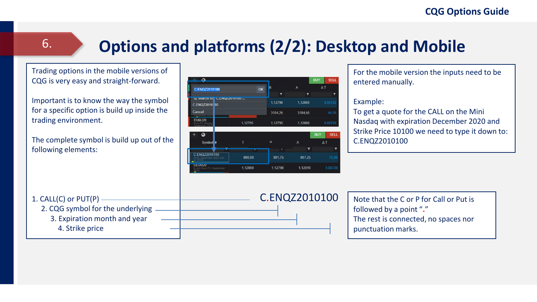### **Options and platforms (2/2): Desktop and Mobile**

Trading options in the mobile versions of CQG is very easy and straight-forward.

6.

Important is to know the way the symbol for a specific option is build up inside the trading environment.

The complete symbol is build up out of the following elements:



C.ENQZ2010100 800,00 801,75 807,25 1.12800 1.12790 1,12810 For the mobile version the inputs need to be entered manually.

#### Example:

To get a quote for the CALL on the Mini Nasdaq with expiration December 2020 and Strike Price 10100 we need to type it down to: C.ENQZ2010100

1. CALL(C) or PUT(P) 2. CQG symbol for the underlying 3. Expiration month and year 4. Strike price

C.ENQZ2010100 Note that the C or P for Call or Put is followed by a point "**.**" The rest is connected, no spaces nor punctuation marks.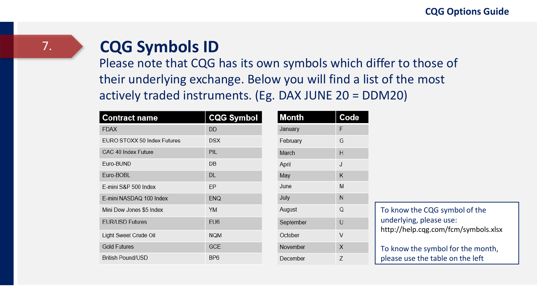# **CQG Symbols ID**

Please note that CQG has its own symbols which differ to those of their underlying exchange. Below you will find a list of the most actively traded instruments. (Eg. DAX JUNE 20 = DDM20)

| <b>Contract name</b>        | <b>CQG Symbol</b> |
|-----------------------------|-------------------|
| <b>FDAX</b>                 | DD                |
| FURO STOXX 50 Index Futures | <b>DSX</b>        |
| CAC 40 Index Future         | PIL               |
| Euro-BUND                   | DB                |
| Euro-BOBL                   | DL                |
| E-mini S&P 500 Index        | FP                |
| E-mini NASDAQ 100 Index     | ENQ               |
| Mini Dow Jones \$5 Index    | <b>YM</b>         |
| <b>EUR/USD Futures</b>      | EU <sub>6</sub>   |
| Light Sweet Crude Oil       | <b>NQM</b>        |
| <b>Gold Futures</b>         | <b>GCE</b>        |
| British Pound/USD           | BP6               |

| <b>Month</b> | Code |
|--------------|------|
| January      | F    |
| February     | G    |
| March        | Н    |
| April        | J    |
| May          | κ    |
| June         | M    |
| July         | N    |
| August       | Q    |
| September    | U    |
| October      | V    |
| November     | X    |
| December     | Z    |

To know the CQG symbol of the underlying, please use: http://help.cqg.com/fcm/symbols.xlsx

To know the symbol for the month, please use the table on the left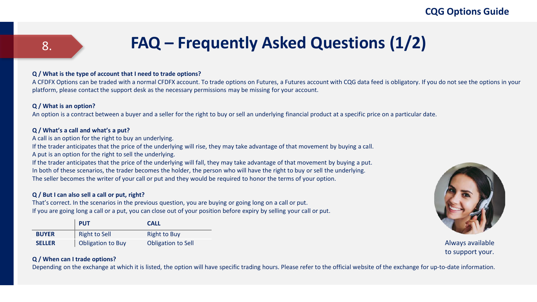### **CQG Options Guide**

## 8. **FAQ – Frequently Asked Questions (1/2)**

#### **Q / What is the type of account that I need to trade options?**

A CFDFX Options can be traded with a normal CFDFX account. To trade options on Futures, a Futures account with CQG data feed is obligatory. If you do not see the options in your platform, please contact the support desk as the necessary permissions may be missing for your account.

#### **Q / What is an option?**

An option is a contract between a buyer and a seller for the right to buy or sell an underlying financial product at a specific price on a particular date.

#### **Q / What's a call and what's a put?**

A call is an option for the right to buy an underlying.

If the trader anticipates that the price of the underlying will rise, they may take advantage of that movement by buying a call. A put is an option for the right to sell the underlying.

If the trader anticipates that the price of the underlying will fall, they may take advantage of that movement by buying a put. In both of these scenarios, the trader becomes the holder, the person who will have the right to buy or sell the underlying. The seller becomes the writer of your call or put and they would be required to honor the terms of your option.

#### **Q / But I can also sell a call or put, right?**

That's correct. In the scenarios in the previous question, you are buying or going long on a call or put. If you are going long a call or a put, you can close out of your position before expiry by selling your call or put.

|               | <b>PUT</b>               | CALL                |
|---------------|--------------------------|---------------------|
| <b>BUYER</b>  | Right to Sell            | <b>Right to Buy</b> |
| <b>SELLER</b> | <b>Obligation to Buy</b> | Obligation to Sell  |

#### **Q / When can I trade options?**

Depending on the exchange at which it is listed, the option will have specific trading hours. Please refer to the official website of the exchange for up-to-date information.



to support your.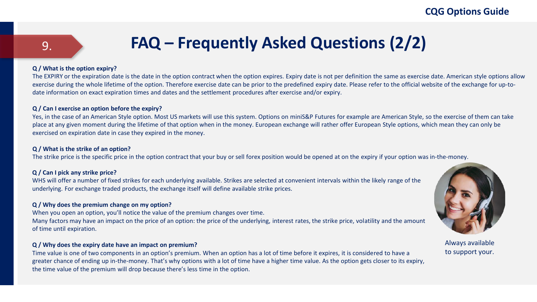### **CQG Options Guide**

## 9. **FAQ – Frequently Asked Questions (2/2)**

#### **Q / What is the option expiry?**

The EXPIRY or the expiration date is the date in the option contract when the option expires. Expiry date is not per definition the same as exercise date. American style options allow exercise during the whole lifetime of the option. Therefore exercise date can be prior to the predefined expiry date. Please refer to the official website of the exchange for up-todate information on exact expiration times and dates and the settlement procedures after exercise and/or expiry.

#### **Q / Can I exercise an option before the expiry?**

Yes, in the case of an American Style option. Most US markets will use this system. Options on miniS&P Futures for example are American Style, so the exercise of them can take place at any given moment during the lifetime of that option when in the money. European exchange will rather offer European Style options, which mean they can only be exercised on expiration date in case they expired in the money.

#### **Q / What is the strike of an option?**

The strike price is the specific price in the option contract that your buy or sell forex position would be opened at on the expiry if your option was in-the-money.

#### **Q / Can I pick any strike price?**

WHS will offer a number of fixed strikes for each underlying available. Strikes are selected at convenient intervals within the likely range of the underlying. For exchange traded products, the exchange itself will define available strike prices.

#### **Q / Why does the premium change on my option?**

When you open an option, you'll notice the value of the premium changes over time. Many factors may have an impact on the price of an option: the price of the underlying, interest rates, the strike price, volatility and the amount of time until expiration.

#### **Q / Why does the expiry date have an impact on premium?**

Time value is one of two components in an option's premium. When an option has a lot of time before it expires, it is considered to have a greater chance of ending up in-the-money. That's why options with a lot of time have a higher time value. As the option gets closer to its expiry, the time value of the premium will drop because there's less time in the option.



Always available to support your.